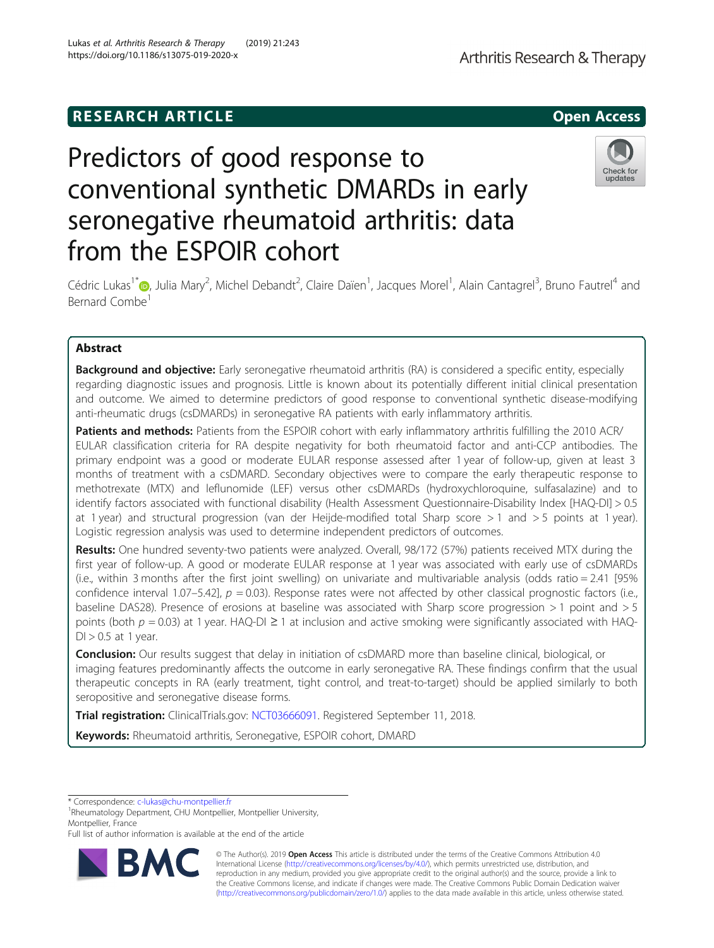# **RESEARCH ARTICLE Example 20 and 20 and 20 and 20 and 20 and 20 and 20 and 20 and 20 and 20 and 20 and 20 and 20 and 20 and 20 and 20 and 20 and 20 and 20 and 20 and 20 and 20 and 20 and 20 and 20 and 20 and 20 and 20 an**

https://doi.org/10.1186/s13075-019-2020-x

# Predictors of good response to conventional synthetic DMARDs in early seronegative rheumatoid arthritis: data from the ESPOIR cohort

Cédric Lukas<sup>1\*</sup>®[,](http://orcid.org/0000-0002-1095-3492) Julia Mary<sup>2</sup>, Michel Debandt<sup>2</sup>, Claire Daïen<sup>1</sup>, Jacques Morel<sup>1</sup>, Alain Cantagrel<sup>3</sup>, Bruno Fautrel<sup>4</sup> and Bernard Combe1

# Abstract

**Background and objective:** Early seronegative rheumatoid arthritis (RA) is considered a specific entity, especially regarding diagnostic issues and prognosis. Little is known about its potentially different initial clinical presentation and outcome. We aimed to determine predictors of good response to conventional synthetic disease-modifying anti-rheumatic drugs (csDMARDs) in seronegative RA patients with early inflammatory arthritis.

Patients and methods: Patients from the ESPOIR cohort with early inflammatory arthritis fulfilling the 2010 ACR/ EULAR classification criteria for RA despite negativity for both rheumatoid factor and anti-CCP antibodies. The primary endpoint was a good or moderate EULAR response assessed after 1 year of follow-up, given at least 3 months of treatment with a csDMARD. Secondary objectives were to compare the early therapeutic response to methotrexate (MTX) and leflunomide (LEF) versus other csDMARDs (hydroxychloroquine, sulfasalazine) and to identify factors associated with functional disability (Health Assessment Questionnaire-Disability Index [HAQ-DI] > 0.5 at 1 year) and structural progression (van der Heijde-modified total Sharp score > 1 and > 5 points at 1 year). Logistic regression analysis was used to determine independent predictors of outcomes.

Results: One hundred seventy-two patients were analyzed. Overall, 98/172 (57%) patients received MTX during the first year of follow-up. A good or moderate EULAR response at 1 year was associated with early use of csDMARDs (i.e., within 3 months after the first joint swelling) on univariate and multivariable analysis (odds ratio = 2.41 [95% confidence interval 1.07–5.42],  $p = 0.03$ ). Response rates were not affected by other classical prognostic factors (i.e., baseline DAS28). Presence of erosions at baseline was associated with Sharp score progression > 1 point and > 5 points (both  $p = 0.03$ ) at 1 year. HAQ-DI ≥ 1 at inclusion and active smoking were significantly associated with HAQ- $DI > 0.5$  at 1 year.

Conclusion: Our results suggest that delay in initiation of csDMARD more than baseline clinical, biological, or imaging features predominantly affects the outcome in early seronegative RA. These findings confirm that the usual therapeutic concepts in RA (early treatment, tight control, and treat-to-target) should be applied similarly to both seropositive and seronegative disease forms.

Trial registration: ClinicalTrials.gov: [NCT03666091.](https://clinicaltrials.gov/ct2/show/NCT03666091) Registered September 11, 2018.

Keywords: Rheumatoid arthritis, Seronegative, ESPOIR cohort, DMARD

<sup>1</sup>Rheumatology Department, CHU Montpellier, Montpellier University, Montpellier, France

Full list of author information is available at the end of the article

© The Author(s). 2019 **Open Access** This article is distributed under the terms of the Creative Commons Attribution 4.0 International License [\(http://creativecommons.org/licenses/by/4.0/](http://creativecommons.org/licenses/by/4.0/)), which permits unrestricted use, distribution, and reproduction in any medium, provided you give appropriate credit to the original author(s) and the source, provide a link to the Creative Commons license, and indicate if changes were made. The Creative Commons Public Domain Dedication waiver [\(http://creativecommons.org/publicdomain/zero/1.0/](http://creativecommons.org/publicdomain/zero/1.0/)) applies to the data made available in this article, unless otherwise stated.

\* Correspondence: [c-lukas@chu-montpellier.fr](mailto:c-lukas@chu-montpellier.fr) <sup>1</sup>

Lukas et al. Arthritis Research & Therapy (2019) 21:243



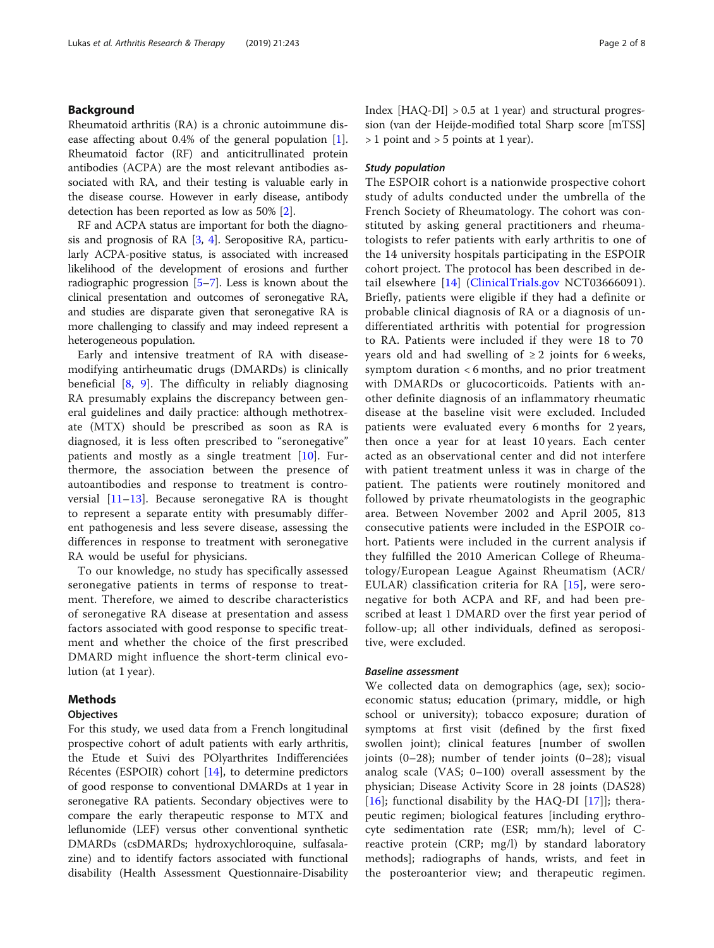# Background

Rheumatoid arthritis (RA) is a chronic autoimmune disease affecting about 0.4% of the general population [\[1](#page-6-0)]. Rheumatoid factor (RF) and anticitrullinated protein antibodies (ACPA) are the most relevant antibodies associated with RA, and their testing is valuable early in the disease course. However in early disease, antibody detection has been reported as low as 50% [\[2](#page-6-0)].

RF and ACPA status are important for both the diagnosis and prognosis of RA [\[3,](#page-6-0) [4\]](#page-6-0). Seropositive RA, particularly ACPA-positive status, is associated with increased likelihood of the development of erosions and further radiographic progression [\[5](#page-6-0)–[7\]](#page-6-0). Less is known about the clinical presentation and outcomes of seronegative RA, and studies are disparate given that seronegative RA is more challenging to classify and may indeed represent a heterogeneous population.

Early and intensive treatment of RA with diseasemodifying antirheumatic drugs (DMARDs) is clinically beneficial  $[8, 9]$  $[8, 9]$  $[8, 9]$  $[8, 9]$  $[8, 9]$ . The difficulty in reliably diagnosing RA presumably explains the discrepancy between general guidelines and daily practice: although methotrexate (MTX) should be prescribed as soon as RA is diagnosed, it is less often prescribed to "seronegative" patients and mostly as a single treatment [[10\]](#page-6-0). Furthermore, the association between the presence of autoantibodies and response to treatment is controversial [\[11](#page-6-0)–[13](#page-6-0)]. Because seronegative RA is thought to represent a separate entity with presumably different pathogenesis and less severe disease, assessing the differences in response to treatment with seronegative RA would be useful for physicians.

To our knowledge, no study has specifically assessed seronegative patients in terms of response to treatment. Therefore, we aimed to describe characteristics of seronegative RA disease at presentation and assess factors associated with good response to specific treatment and whether the choice of the first prescribed DMARD might influence the short-term clinical evolution (at 1 year).

# Methods

# **Objectives**

For this study, we used data from a French longitudinal prospective cohort of adult patients with early arthritis, the Etude et Suivi des POlyarthrites Indifferenciées Récentes (ESPOIR) cohort [\[14](#page-6-0)], to determine predictors of good response to conventional DMARDs at 1 year in seronegative RA patients. Secondary objectives were to compare the early therapeutic response to MTX and leflunomide (LEF) versus other conventional synthetic DMARDs (csDMARDs; hydroxychloroquine, sulfasalazine) and to identify factors associated with functional disability (Health Assessment Questionnaire-Disability Index  $[HAQ-DI] > 0.5$  at 1 year) and structural progression (van der Heijde-modified total Sharp score [mTSS] > 1 point and > 5 points at 1 year).

# Study population

The ESPOIR cohort is a nationwide prospective cohort study of adults conducted under the umbrella of the French Society of Rheumatology. The cohort was constituted by asking general practitioners and rheumatologists to refer patients with early arthritis to one of the 14 university hospitals participating in the ESPOIR cohort project. The protocol has been described in detail elsewhere [\[14\]](#page-6-0) [\(ClinicalTrials.gov](http://clinicaltrials.gov) NCT03666091). Briefly, patients were eligible if they had a definite or probable clinical diagnosis of RA or a diagnosis of undifferentiated arthritis with potential for progression to RA. Patients were included if they were 18 to 70 years old and had swelling of  $\geq 2$  joints for 6 weeks, symptom duration < 6 months, and no prior treatment with DMARDs or glucocorticoids. Patients with another definite diagnosis of an inflammatory rheumatic disease at the baseline visit were excluded. Included patients were evaluated every 6 months for 2 years, then once a year for at least 10 years. Each center acted as an observational center and did not interfere with patient treatment unless it was in charge of the patient. The patients were routinely monitored and followed by private rheumatologists in the geographic area. Between November 2002 and April 2005, 813 consecutive patients were included in the ESPOIR cohort. Patients were included in the current analysis if they fulfilled the 2010 American College of Rheumatology/European League Against Rheumatism (ACR/ EULAR) classification criteria for RA [[15\]](#page-6-0), were seronegative for both ACPA and RF, and had been prescribed at least 1 DMARD over the first year period of follow-up; all other individuals, defined as seropositive, were excluded.

# Baseline assessment

We collected data on demographics (age, sex); socioeconomic status; education (primary, middle, or high school or university); tobacco exposure; duration of symptoms at first visit (defined by the first fixed swollen joint); clinical features [number of swollen joints (0–28); number of tender joints (0–28); visual analog scale (VAS; 0–100) overall assessment by the physician; Disease Activity Score in 28 joints (DAS28) [[16\]](#page-6-0); functional disability by the HAQ-DI [[17\]](#page-6-0)]; therapeutic regimen; biological features [including erythrocyte sedimentation rate (ESR; mm/h); level of Creactive protein (CRP; mg/l) by standard laboratory methods]; radiographs of hands, wrists, and feet in the posteroanterior view; and therapeutic regimen.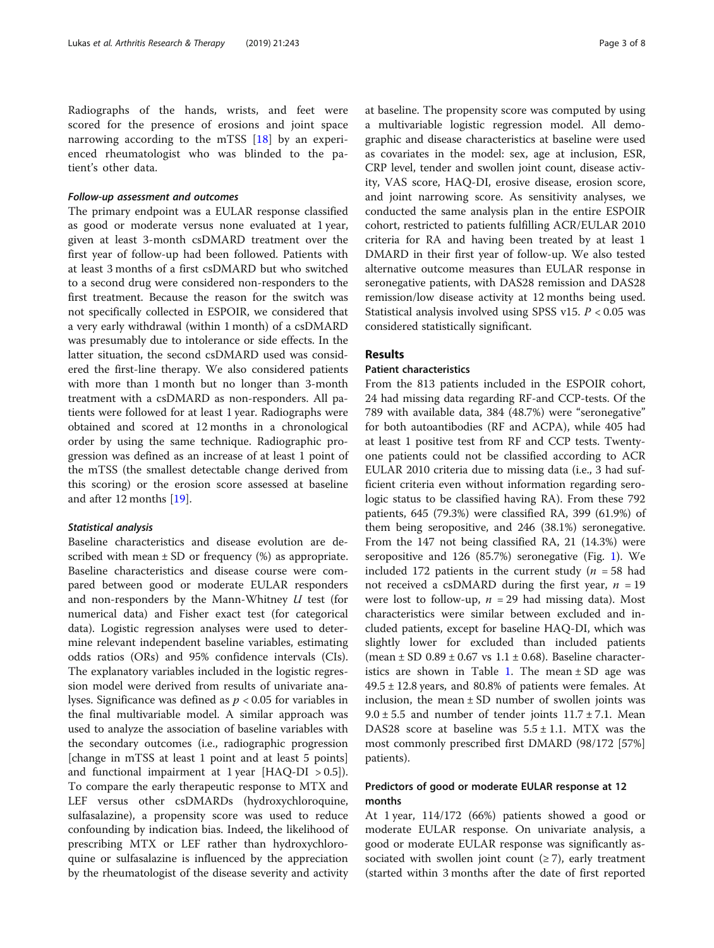Radiographs of the hands, wrists, and feet were scored for the presence of erosions and joint space narrowing according to the mTSS [[18\]](#page-6-0) by an experienced rheumatologist who was blinded to the patient's other data.

# Follow-up assessment and outcomes

The primary endpoint was a EULAR response classified as good or moderate versus none evaluated at 1 year, given at least 3-month csDMARD treatment over the first year of follow-up had been followed. Patients with at least 3 months of a first csDMARD but who switched to a second drug were considered non-responders to the first treatment. Because the reason for the switch was not specifically collected in ESPOIR, we considered that a very early withdrawal (within 1 month) of a csDMARD was presumably due to intolerance or side effects. In the latter situation, the second csDMARD used was considered the first-line therapy. We also considered patients with more than 1 month but no longer than 3-month treatment with a csDMARD as non-responders. All patients were followed for at least 1 year. Radiographs were obtained and scored at 12 months in a chronological order by using the same technique. Radiographic progression was defined as an increase of at least 1 point of the mTSS (the smallest detectable change derived from this scoring) or the erosion score assessed at baseline and after 12 months [[19\]](#page-6-0).

# Statistical analysis

Baseline characteristics and disease evolution are described with mean  $\pm$  SD or frequency (%) as appropriate. Baseline characteristics and disease course were compared between good or moderate EULAR responders and non-responders by the Mann-Whitney  $U$  test (for numerical data) and Fisher exact test (for categorical data). Logistic regression analyses were used to determine relevant independent baseline variables, estimating odds ratios (ORs) and 95% confidence intervals (CIs). The explanatory variables included in the logistic regression model were derived from results of univariate analyses. Significance was defined as  $p < 0.05$  for variables in the final multivariable model. A similar approach was used to analyze the association of baseline variables with the secondary outcomes (i.e., radiographic progression [change in mTSS at least 1 point and at least 5 points] and functional impairment at 1 year  $[HAQ-DI > 0.5]$ . To compare the early therapeutic response to MTX and LEF versus other csDMARDs (hydroxychloroquine, sulfasalazine), a propensity score was used to reduce confounding by indication bias. Indeed, the likelihood of prescribing MTX or LEF rather than hydroxychloroquine or sulfasalazine is influenced by the appreciation by the rheumatologist of the disease severity and activity at baseline. The propensity score was computed by using a multivariable logistic regression model. All demographic and disease characteristics at baseline were used as covariates in the model: sex, age at inclusion, ESR, CRP level, tender and swollen joint count, disease activity, VAS score, HAQ-DI, erosive disease, erosion score, and joint narrowing score. As sensitivity analyses, we conducted the same analysis plan in the entire ESPOIR cohort, restricted to patients fulfilling ACR/EULAR 2010 criteria for RA and having been treated by at least 1 DMARD in their first year of follow-up. We also tested alternative outcome measures than EULAR response in seronegative patients, with DAS28 remission and DAS28 remission/low disease activity at 12 months being used. Statistical analysis involved using SPSS v15.  $P < 0.05$  was considered statistically significant.

# Results

# Patient characteristics

From the 813 patients included in the ESPOIR cohort, 24 had missing data regarding RF-and CCP-tests. Of the 789 with available data, 384 (48.7%) were "seronegative" for both autoantibodies (RF and ACPA), while 405 had at least 1 positive test from RF and CCP tests. Twentyone patients could not be classified according to ACR EULAR 2010 criteria due to missing data (i.e., 3 had sufficient criteria even without information regarding serologic status to be classified having RA). From these 792 patients, 645 (79.3%) were classified RA, 399 (61.9%) of them being seropositive, and 246 (38.1%) seronegative. From the 147 not being classified RA, 21 (14.3%) were seropositive and 126 (85.7%) seronegative (Fig. [1](#page-3-0)). We included 172 patients in the current study ( $n = 58$  had not received a csDMARD during the first year,  $n = 19$ were lost to follow-up,  $n = 29$  had missing data). Most characteristics were similar between excluded and included patients, except for baseline HAQ-DI, which was slightly lower for excluded than included patients (mean  $\pm$  SD 0.89  $\pm$  0.67 vs 1.1  $\pm$  0.68). Baseline character-istics are shown in Table [1](#page-4-0). The mean  $\pm$  SD age was  $49.5 \pm 12.8$  years, and  $80.8\%$  of patients were females. At inclusion, the mean  $\pm$  SD number of swollen joints was  $9.0 \pm 5.5$  and number of tender joints  $11.7 \pm 7.1$ . Mean DAS28 score at baseline was  $5.5 \pm 1.1$ . MTX was the most commonly prescribed first DMARD (98/172 [57%] patients).

# Predictors of good or moderate EULAR response at 12 months

At 1 year, 114/172 (66%) patients showed a good or moderate EULAR response. On univariate analysis, a good or moderate EULAR response was significantly associated with swollen joint count  $(≥ 7)$ , early treatment (started within 3 months after the date of first reported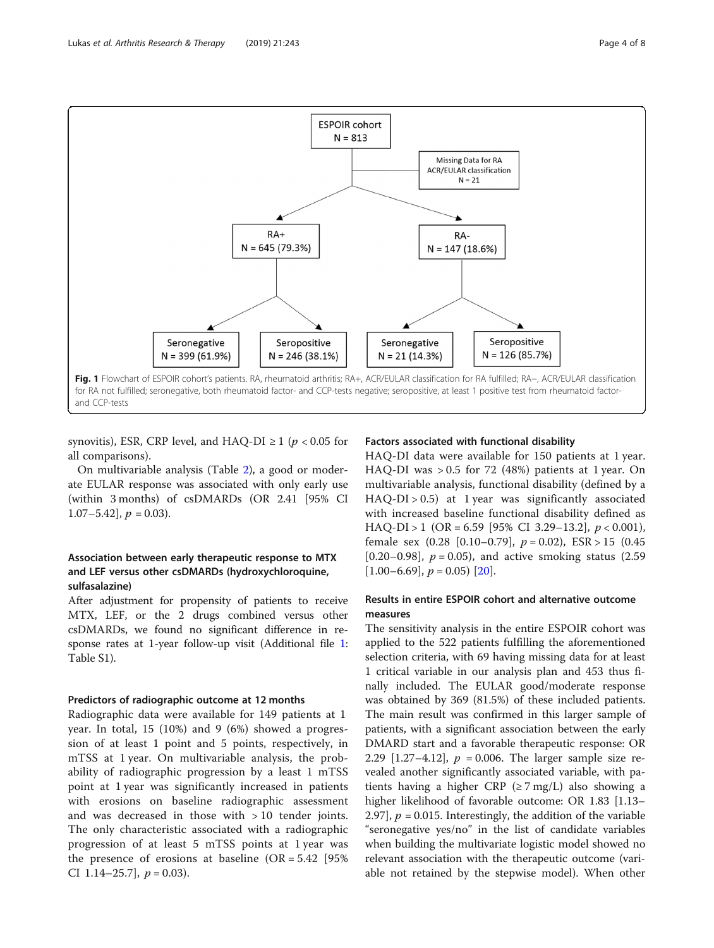<span id="page-3-0"></span>

synovitis), ESR, CRP level, and HAQ-DI  $\geq 1$  ( $p < 0.05$  for all comparisons).

On multivariable analysis (Table [2\)](#page-4-0), a good or moderate EULAR response was associated with only early use (within 3 months) of csDMARDs (OR 2.41 [95% CI 1.07–5.42],  $p = 0.03$ ).

# Association between early therapeutic response to MTX and LEF versus other csDMARDs (hydroxychloroquine, sulfasalazine)

After adjustment for propensity of patients to receive MTX, LEF, or the 2 drugs combined versus other csDMARDs, we found no significant difference in response rates at 1-year follow-up visit (Additional file [1](#page-5-0): Table S1).

# Predictors of radiographic outcome at 12 months

Radiographic data were available for 149 patients at 1 year. In total, 15 (10%) and 9 (6%) showed a progression of at least 1 point and 5 points, respectively, in mTSS at 1 year. On multivariable analysis, the probability of radiographic progression by a least 1 mTSS point at 1 year was significantly increased in patients with erosions on baseline radiographic assessment and was decreased in those with > 10 tender joints. The only characteristic associated with a radiographic progression of at least 5 mTSS points at 1 year was the presence of erosions at baseline  $(OR = 5.42)$  [95%] CI 1.14–25.7],  $p = 0.03$ ).

#### Factors associated with functional disability

HAQ-DI data were available for 150 patients at 1 year. HAQ-DI was > 0.5 for 72 (48%) patients at 1 year. On multivariable analysis, functional disability (defined by a HAQ-DI > 0.5) at 1 year was significantly associated with increased baseline functional disability defined as HAQ-DI > 1 (OR = 6.59 [95% CI 3.29–13.2],  $p < 0.001$ ), female sex  $(0.28 \, [0.10-0.79], p = 0.02)$ ,  $ESR > 15 \, (0.45$ [0.20–0.98],  $p = 0.05$ ), and active smoking status (2.59  $[1.00-6.69], p = 0.05$   $[20].$  $[20].$ 

# Results in entire ESPOIR cohort and alternative outcome measures

The sensitivity analysis in the entire ESPOIR cohort was applied to the 522 patients fulfilling the aforementioned selection criteria, with 69 having missing data for at least 1 critical variable in our analysis plan and 453 thus finally included. The EULAR good/moderate response was obtained by 369 (81.5%) of these included patients. The main result was confirmed in this larger sample of patients, with a significant association between the early DMARD start and a favorable therapeutic response: OR 2.29  $[1.27-4.12]$ ,  $p = 0.006$ . The larger sample size revealed another significantly associated variable, with patients having a higher CRP ( $\geq$  7 mg/L) also showing a higher likelihood of favorable outcome: OR 1.83 [1.13– 2.97],  $p = 0.015$ . Interestingly, the addition of the variable "seronegative yes/no" in the list of candidate variables when building the multivariate logistic model showed no relevant association with the therapeutic outcome (variable not retained by the stepwise model). When other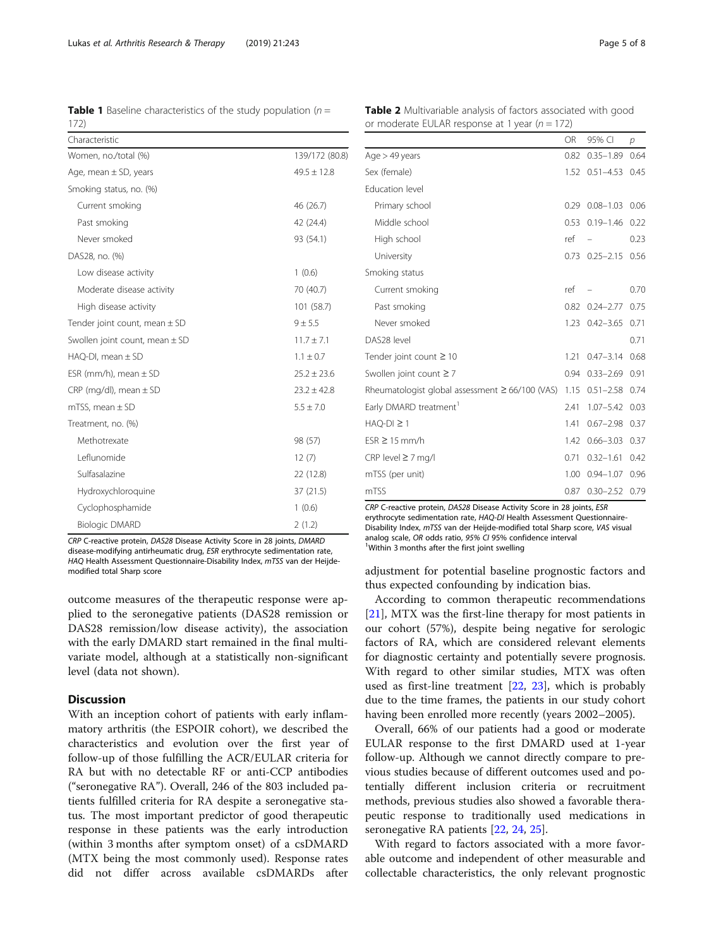CRP C-reactive protein, DAS28 Disease Activity Score in 28 joints, DMARD disease-modifying antirheumatic drug, ESR erythrocyte sedimentation rate, HAQ Health Assessment Questionnaire-Disability Index, mTSS van der Heijdemodified total Sharp score

outcome measures of the therapeutic response were applied to the seronegative patients (DAS28 remission or DAS28 remission/low disease activity), the association with the early DMARD start remained in the final multivariate model, although at a statistically non-significant level (data not shown).

# **Discussion**

With an inception cohort of patients with early inflammatory arthritis (the ESPOIR cohort), we described the characteristics and evolution over the first year of follow-up of those fulfilling the ACR/EULAR criteria for RA but with no detectable RF or anti-CCP antibodies ("seronegative RA"). Overall, 246 of the 803 included patients fulfilled criteria for RA despite a seronegative status. The most important predictor of good therapeutic response in these patients was the early introduction (within 3 months after symptom onset) of a csDMARD (MTX being the most commonly used). Response rates did not differ across available csDMARDs after

CRP C-reactive protein, DAS28 Disease Activity Score in 28 joints, ESR erythrocyte sedimentation rate, HAQ-DI Health Assessment Questionnaire-Disability Index, mTSS van der Heijde-modified total Sharp score, VAS visual analog scale, OR odds ratio, 95% CJ 95% confidence interval

<sup>1</sup>Within 3 months after the first joint swelling

adjustment for potential baseline prognostic factors and thus expected confounding by indication bias.

According to common therapeutic recommendations [[21\]](#page-6-0), MTX was the first-line therapy for most patients in our cohort (57%), despite being negative for serologic factors of RA, which are considered relevant elements for diagnostic certainty and potentially severe prognosis. With regard to other similar studies, MTX was often used as first-line treatment [\[22](#page-6-0), [23](#page-6-0)], which is probably due to the time frames, the patients in our study cohort having been enrolled more recently (years 2002–2005).

Overall, 66% of our patients had a good or moderate EULAR response to the first DMARD used at 1-year follow-up. Although we cannot directly compare to previous studies because of different outcomes used and potentially different inclusion criteria or recruitment methods, previous studies also showed a favorable therapeutic response to traditionally used medications in seronegative RA patients [\[22](#page-6-0), [24](#page-6-0), [25\]](#page-6-0).

With regard to factors associated with a more favorable outcome and independent of other measurable and collectable characteristics, the only relevant prognostic

<span id="page-4-0"></span>**Table 1** Baseline characteristics of the study population ( $n =$ 172)

| Characteristic                     |                 |
|------------------------------------|-----------------|
| Women, no./total (%)               | 139/172 (80.8)  |
| Age, mean $\pm$ SD, years          | $49.5 \pm 12.8$ |
| Smoking status, no. (%)            |                 |
| Current smoking                    | 46 (26.7)       |
| Past smoking                       | 42 (24.4)       |
| Never smoked                       | 93 (54.1)       |
| DAS28, no. (%)                     |                 |
| Low disease activity               | 1(0.6)          |
| Moderate disease activity          | 70 (40.7)       |
| High disease activity              | 101(58.7)       |
| Tender joint count, mean $\pm$ SD  | $9 + 5.5$       |
| Swollen joint count, mean $\pm$ SD | $11.7 + 7.1$    |
| $HAQ-DI$ , mean $\pm$ SD           | $1.1 \pm 0.7$   |
| ESR (mm/h), mean $\pm$ SD          | $25.2 \pm 23.6$ |
| CRP (mg/dl), mean $\pm$ SD         | $23.2 \pm 42.8$ |
| $mTSS$ , mean $\pm SD$             | $5.5 \pm 7.0$   |
| Treatment, no. (%)                 |                 |
| Methotrexate                       | 98 (57)         |
| Leflunomide                        | 12(7)           |
| Sulfasalazine                      | 22 (12.8)       |
| Hydroxychloroquine                 | 37 (21.5)       |
| Cyclophosphamide                   | 1(0.6)          |
| <b>Biologic DMARD</b>              | 2(1.2)          |

Table 2 Multivariable analysis of factors associated with good or moderate EULAR response at 1 year ( $n = 172$ )

OR 95% CI p

| $Age > 49$ years                                     | 0.82 | $0.35 - 1.89$         | 0.64 |
|------------------------------------------------------|------|-----------------------|------|
| Sex (female)                                         |      | 1.52 0.51-4.53 0.45   |      |
| Education level                                      |      |                       |      |
| Primary school                                       | 0.29 | $0.08 - 1.03$         | 0.06 |
| Middle school                                        | 0.53 | $0.19 - 1.46$         | 0.22 |
| High school                                          | ref  |                       | 0.23 |
| University                                           | 0.73 | $0.25 - 2.15$         | 0.56 |
| Smoking status                                       |      |                       |      |
| Current smoking                                      | ref  |                       | 0.70 |
| Past smoking                                         | 0.82 | $0.24 - 2.77$         | 0.75 |
| Never smoked                                         | 1.23 | $0.42 - 3.65$         | 0.71 |
| DAS28 level                                          |      |                       | 0.71 |
| Tender joint count $\geq 10$                         | 1.21 | $0.47 - 3.14$         | 0.68 |
| Swollen joint count $\geq 7$                         | 0.94 | $0.33 - 2.69$         | 0.91 |
| Rheumatologist global assessment $\geq 66/100$ (VAS) | 1.15 | $0.51 - 2.58$         | 0.74 |
| Early DMARD treatment <sup>1</sup>                   | 2.41 | $1.07 - 5.42$         | 0.03 |
| $HAQ-DI \geq 1$                                      | 1.41 | $0.67 - 2.98$         | 0.37 |
| $ESR \ge 15$ mm/h                                    | 1.42 | $0.66 - 3.03$         | 0.37 |
| $CRP$ level $\geq$ 7 mg/l                            | 0.71 | $0.32 - 1.61$         | 0.42 |
| mTSS (per unit)                                      | 1.00 | $0.94 - 1.07$         | 0.96 |
| mTSS                                                 |      | 0.87 0.30 - 2.52 0.79 |      |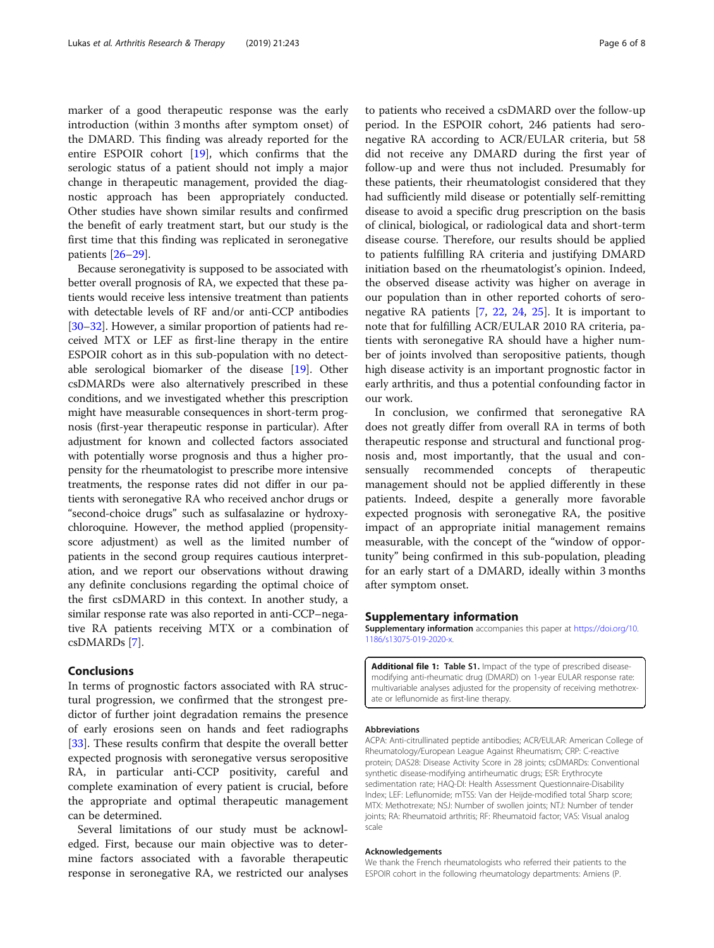<span id="page-5-0"></span>marker of a good therapeutic response was the early introduction (within 3 months after symptom onset) of the DMARD. This finding was already reported for the entire ESPOIR cohort  $[19]$  $[19]$  $[19]$ , which confirms that the serologic status of a patient should not imply a major change in therapeutic management, provided the diagnostic approach has been appropriately conducted. Other studies have shown similar results and confirmed the benefit of early treatment start, but our study is the first time that this finding was replicated in seronegative patients [[26](#page-7-0)–[29](#page-7-0)].

Because seronegativity is supposed to be associated with better overall prognosis of RA, we expected that these patients would receive less intensive treatment than patients with detectable levels of RF and/or anti-CCP antibodies [[30](#page-7-0)–[32\]](#page-7-0). However, a similar proportion of patients had received MTX or LEF as first-line therapy in the entire ESPOIR cohort as in this sub-population with no detectable serological biomarker of the disease [[19](#page-6-0)]. Other csDMARDs were also alternatively prescribed in these conditions, and we investigated whether this prescription might have measurable consequences in short-term prognosis (first-year therapeutic response in particular). After adjustment for known and collected factors associated with potentially worse prognosis and thus a higher propensity for the rheumatologist to prescribe more intensive treatments, the response rates did not differ in our patients with seronegative RA who received anchor drugs or "second-choice drugs" such as sulfasalazine or hydroxychloroquine. However, the method applied (propensityscore adjustment) as well as the limited number of patients in the second group requires cautious interpretation, and we report our observations without drawing any definite conclusions regarding the optimal choice of the first csDMARD in this context. In another study, a similar response rate was also reported in anti-CCP–negative RA patients receiving MTX or a combination of csDMARDs [\[7\]](#page-6-0).

# Conclusions

In terms of prognostic factors associated with RA structural progression, we confirmed that the strongest predictor of further joint degradation remains the presence of early erosions seen on hands and feet radiographs [[33\]](#page-7-0). These results confirm that despite the overall better expected prognosis with seronegative versus seropositive RA, in particular anti-CCP positivity, careful and complete examination of every patient is crucial, before the appropriate and optimal therapeutic management can be determined.

Several limitations of our study must be acknowledged. First, because our main objective was to determine factors associated with a favorable therapeutic response in seronegative RA, we restricted our analyses

to patients who received a csDMARD over the follow-up period. In the ESPOIR cohort, 246 patients had seronegative RA according to ACR/EULAR criteria, but 58 did not receive any DMARD during the first year of follow-up and were thus not included. Presumably for these patients, their rheumatologist considered that they had sufficiently mild disease or potentially self-remitting disease to avoid a specific drug prescription on the basis of clinical, biological, or radiological data and short-term disease course. Therefore, our results should be applied to patients fulfilling RA criteria and justifying DMARD initiation based on the rheumatologist's opinion. Indeed, the observed disease activity was higher on average in our population than in other reported cohorts of seronegative RA patients [[7,](#page-6-0) [22](#page-6-0), [24](#page-6-0), [25\]](#page-6-0). It is important to note that for fulfilling ACR/EULAR 2010 RA criteria, patients with seronegative RA should have a higher number of joints involved than seropositive patients, though high disease activity is an important prognostic factor in early arthritis, and thus a potential confounding factor in our work.

In conclusion, we confirmed that seronegative RA does not greatly differ from overall RA in terms of both therapeutic response and structural and functional prognosis and, most importantly, that the usual and consensually recommended concepts of therapeutic management should not be applied differently in these patients. Indeed, despite a generally more favorable expected prognosis with seronegative RA, the positive impact of an appropriate initial management remains measurable, with the concept of the "window of opportunity" being confirmed in this sub-population, pleading for an early start of a DMARD, ideally within 3 months after symptom onset.

### Supplementary information

Supplementary information accompanies this paper at [https://doi.org/10.](https://doi.org/10.1186/s13075-019-2020-x) [1186/s13075-019-2020-x](https://doi.org/10.1186/s13075-019-2020-x).

Additional file 1: Table S1. Impact of the type of prescribed diseasemodifying anti-rheumatic drug (DMARD) on 1-year EULAR response rate: multivariable analyses adjusted for the propensity of receiving methotrexate or leflunomide as first-line therapy.

#### Abbreviations

ACPA: Anti-citrullinated peptide antibodies; ACR/EULAR: American College of Rheumatology/European League Against Rheumatism; CRP: C-reactive protein; DAS28: Disease Activity Score in 28 joints; csDMARDs: Conventional synthetic disease-modifying antirheumatic drugs; ESR: Erythrocyte sedimentation rate; HAQ-DI: Health Assessment Questionnaire-Disability Index; LEF: Leflunomide; mTSS: Van der Heijde-modified total Sharp score; MTX: Methotrexate; NSJ: Number of swollen joints; NTJ: Number of tender joints; RA: Rheumatoid arthritis; RF: Rheumatoid factor; VAS: Visual analog scale

#### Acknowledgements

We thank the French rheumatologists who referred their patients to the ESPOIR cohort in the following rheumatology departments: Amiens (P.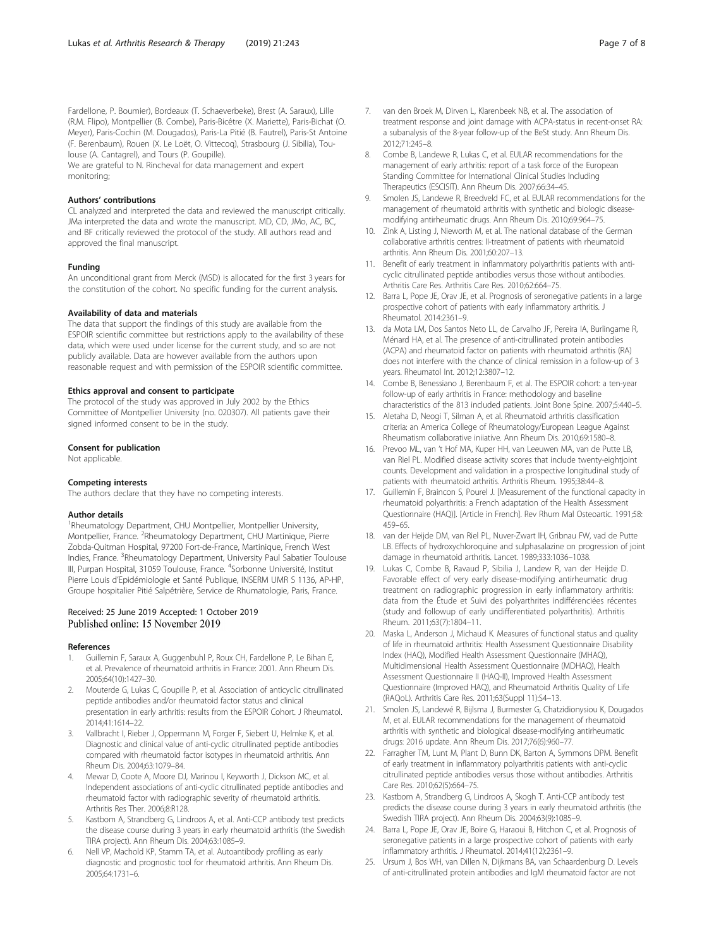<span id="page-6-0"></span>Fardellone, P. Boumier), Bordeaux (T. Schaeverbeke), Brest (A. Saraux), Lille (R.M. Flipo), Montpellier (B. Combe), Paris-Bicêtre (X. Mariette), Paris-Bichat (O. Meyer), Paris-Cochin (M. Dougados), Paris-La Pitié (B. Fautrel), Paris-St Antoine (F. Berenbaum), Rouen (X. Le Loët, O. Vittecoq), Strasbourg (J. Sibilia), Toulouse (A. Cantagrel), and Tours (P. Goupille). We are grateful to N. Rincheval for data management and expert monitoring;

#### Authors' contributions

CL analyzed and interpreted the data and reviewed the manuscript critically. JMa interpreted the data and wrote the manuscript. MD, CD, JMo, AC, BC, and BF critically reviewed the protocol of the study. All authors read and approved the final manuscript.

#### Funding

An unconditional grant from Merck (MSD) is allocated for the first 3 years for the constitution of the cohort. No specific funding for the current analysis.

# Availability of data and materials

The data that support the findings of this study are available from the ESPOIR scientific committee but restrictions apply to the availability of these data, which were used under license for the current study, and so are not publicly available. Data are however available from the authors upon reasonable request and with permission of the ESPOIR scientific committee.

# Ethics approval and consent to participate

The protocol of the study was approved in July 2002 by the Ethics Committee of Montpellier University (no. 020307). All patients gave their signed informed consent to be in the study.

#### Consent for publication

Not applicable.

# Competing interests

The authors declare that they have no competing interests.

# Author details

<sup>1</sup>Rheumatology Department, CHU Montpellier, Montpellier University, Montpellier, France. <sup>2</sup>Rheumatology Department, CHU Martinique, Pierre Zobda-Quitman Hospital, 97200 Fort-de-France, Martinique, French West Indies, France. <sup>3</sup>Rheumatology Department, University Paul Sabatier Toulouse III, Purpan Hospital, 31059 Toulouse, France. <sup>4</sup>Sorbonne Université, Institut Pierre Louis d'Epidémiologie et Santé Publique, INSERM UMR S 1136, AP-HP, Groupe hospitalier Pitié Salpêtrière, Service de Rhumatologie, Paris, France.

# Received: 25 June 2019 Accepted: 1 October 2019 Published online: 15 November 2019

#### References

- 1. Guillemin F, Saraux A, Guggenbuhl P, Roux CH, Fardellone P, Le Bihan E, et al. Prevalence of rheumatoid arthritis in France: 2001. Ann Rheum Dis. 2005;64(10):1427–30.
- 2. Mouterde G, Lukas C, Goupille P, et al. Association of anticyclic citrullinated peptide antibodies and/or rheumatoid factor status and clinical presentation in early arthritis: results from the ESPOIR Cohort. J Rheumatol. 2014;41:1614–22.
- Vallbracht I, Rieber J, Oppermann M, Forger F, Siebert U, Helmke K, et al. Diagnostic and clinical value of anti-cyclic citrullinated peptide antibodies compared with rheumatoid factor isotypes in rheumatoid arthritis. Ann Rheum Dis. 2004;63:1079–84.
- Mewar D, Coote A, Moore DJ, Marinou I, Keyworth J, Dickson MC, et al. Independent associations of anti-cyclic citrullinated peptide antibodies and rheumatoid factor with radiographic severity of rheumatoid arthritis. Arthritis Res Ther. 2006;8:R128.
- Kastbom A, Strandberg G, Lindroos A, et al. Anti-CCP antibody test predicts the disease course during 3 years in early rheumatoid arthritis (the Swedish TIRA project). Ann Rheum Dis. 2004;63:1085–9.
- Nell VP, Machold KP, Stamm TA, et al. Autoantibody profiling as early diagnostic and prognostic tool for rheumatoid arthritis. Ann Rheum Dis. 2005;64:1731–6.
- 7. van den Broek M, Dirven L, Klarenbeek NB, et al. The association of treatment response and joint damage with ACPA-status in recent-onset RA: a subanalysis of the 8-year follow-up of the BeSt study. Ann Rheum Dis. 2012;71:245–8.
- 8. Combe B, Landewe R, Lukas C, et al. EULAR recommendations for the management of early arthritis: report of a task force of the European Standing Committee for International Clinical Studies Including Therapeutics (ESCISIT). Ann Rheum Dis. 2007;66:34–45.
- Smolen JS, Landewe R, Breedveld FC, et al. EULAR recommendations for the management of rheumatoid arthritis with synthetic and biologic diseasemodifying antirheumatic drugs. Ann Rheum Dis. 2010;69:964–75.
- 10. Zink A, Listing J, Nieworth M, et al. The national database of the German collaborative arthritis centres: II-treatment of patients with rheumatoid arthritis. Ann Rheum Dis. 2001;60:207–13.
- 11. Benefit of early treatment in inflammatory polyarthritis patients with anticyclic citrullinated peptide antibodies versus those without antibodies. Arthritis Care Res. Arthritis Care Res. 2010;62:664–75.
- 12. Barra L, Pope JE, Orav JE, et al. Prognosis of seronegative patients in a large prospective cohort of patients with early inflammatory arthritis. J Rheumatol. 2014:2361–9.
- 13. da Mota LM, Dos Santos Neto LL, de Carvalho JF, Pereira IA, Burlingame R, Ménard HA, et al. The presence of anti-citrullinated protein antibodies (ACPA) and rheumatoid factor on patients with rheumatoid arthritis (RA) does not interfere with the chance of clinical remission in a follow-up of 3 years. Rheumatol Int. 2012;12:3807–12.
- 14. Combe B, Benessiano J, Berenbaum F, et al. The ESPOIR cohort: a ten-year follow-up of early arthritis in France: methodology and baseline characteristics of the 813 included patients. Joint Bone Spine. 2007;5:440–5.
- 15. Aletaha D, Neogi T, Silman A, et al. Rheumatoid arthritis classification criteria: an America College of Rheumatology/European League Against Rheumatism collaborative iniiative. Ann Rheum Dis. 2010;69:1580–8.
- 16. Prevoo ML, van 't Hof MA, Kuper HH, van Leeuwen MA, van de Putte LB, van Riel PL. Modified disease activity scores that include twenty-eightjoint counts. Development and validation in a prospective longitudinal study of patients with rheumatoid arthritis. Arthritis Rheum. 1995;38:44–8.
- 17. Guillemin F, Braincon S, Pourel J. [Measurement of the functional capacity in rheumatoid polyarthritis: a French adaptation of the Health Assessment Questionnaire (HAQ)]. [Article in French]. Rev Rhum Mal Osteoartic. 1991;58: 459–65.
- 18. van der Heijde DM, van Riel PL, Nuver-Zwart IH, Gribnau FW, vad de Putte LB. Effects of hydroxychloroquine and sulphasalazine on progression of joint damage in rheumatoid arthritis. Lancet. 1989;333:1036–1038.
- 19. Lukas C, Combe B, Ravaud P, Sibilia J, Landew R, van der Heijde D. Favorable effect of very early disease-modifying antirheumatic drug treatment on radiographic progression in early inflammatory arthritis: data from the Étude et Suivi des polyarthrites indifférenciées récentes (study and followup of early undifferentiated polyarthritis). Arthritis Rheum. 2011;63(7):1804–11.
- 20. Maska L, Anderson J, Michaud K. Measures of functional status and quality of life in rheumatoid arthritis: Health Assessment Questionnaire Disability Index (HAQ), Modified Health Assessment Questionnaire (MHAQ), Multidimensional Health Assessment Questionnaire (MDHAQ), Health Assessment Questionnaire II (HAQ-II), Improved Health Assessment Questionnaire (Improved HAQ), and Rheumatoid Arthritis Quality of Life (RAQoL). Arthritis Care Res. 2011;63(Suppl 11):S4–13.
- 21. Smolen JS, Landewé R, Bijlsma J, Burmester G, Chatzidionysiou K, Dougados M, et al. EULAR recommendations for the management of rheumatoid arthritis with synthetic and biological disease-modifying antirheumatic drugs: 2016 update. Ann Rheum Dis. 2017;76(6):960–77.
- 22. Farragher TM, Lunt M, Plant D, Bunn DK, Barton A, Symmons DPM. Benefit of early treatment in inflammatory polyarthritis patients with anti-cyclic citrullinated peptide antibodies versus those without antibodies. Arthritis Care Res. 2010;62(5):664–75.
- 23. Kastbom A, Strandberg G, Lindroos A, Skogh T. Anti-CCP antibody test predicts the disease course during 3 years in early rheumatoid arthritis (the Swedish TIRA project). Ann Rheum Dis. 2004;63(9):1085–9.
- 24. Barra L, Pope JE, Orav JE, Boire G, Haraoui B, Hitchon C, et al. Prognosis of seronegative patients in a large prospective cohort of patients with early inflammatory arthritis. J Rheumatol. 2014;41(12):2361–9.
- 25. Ursum J, Bos WH, van Dillen N, Dijkmans BA, van Schaardenburg D. Levels of anti-citrullinated protein antibodies and IgM rheumatoid factor are not